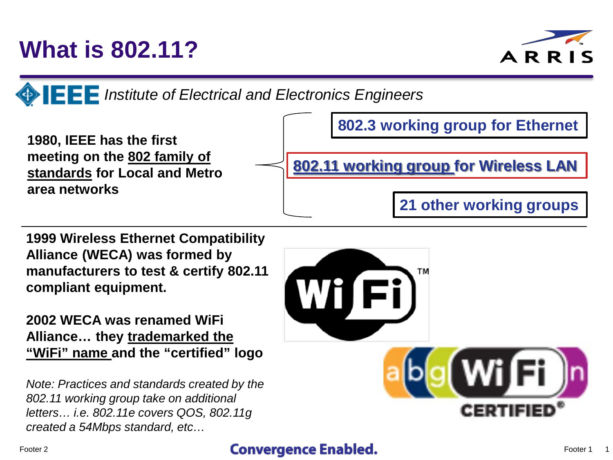# **What is 802.11?**



**IFFE** Institute of Electrical and Electronics Engineers

**1980, IEEE has the first meeting on the 802 family of standards for Local and Metro area networks**



**1999 Wireless Ethernet Compatibility Alliance (WECA) was formed by manufacturers to test & certify 802.11 compliant equipment.** 

**2002 WECA was renamed WiFi Alliance… they trademarked the "WiFi" name and the "certified" logo**

*Note: Practices and standards created by the 802.11 working group take on additional letters… i.e. 802.11e covers QOS, 802.11g created a 54Mbps standard, etc…*



### Footer 2 **Footer 1 12 Convergence Enabled.** The set of the set of the set of the set of the set of the set of the set of the set of the set of the set of the set of the set of the set of the set of the set of the set of th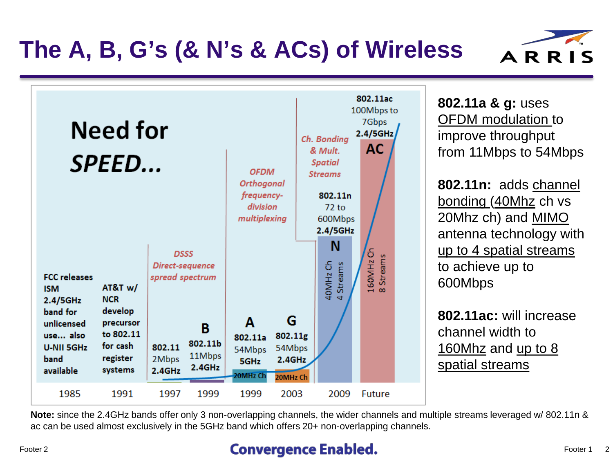# **The A, B, G's (& N's & ACs) of Wireless**



• **802.11a & g:** uses OFDM modulation to improve throughput from 11Mbps to 54Mbps

ARRIS

• **802.11n:** adds channel bonding (40Mhz ch vs 20Mhz ch) and MIMO antenna technology with up to 4 spatial streams to achieve up to 600Mbps

• **802.11ac:** will increase channel width to 160Mhz and up to 8 spatial streams

**Note:** since the 2.4GHz bands offer only 3 non-overlapping channels, the wider channels and multiple streams leveraged w/ 802.11n & ac can be used almost exclusively in the 5GHz band which offers 20+ non-overlapping channels.

#### Footer 2 **Footer 2 Footer 1 2 Convergence Enabled.** The state of the state of the state of the state of the state of the state of the state of the state of the state of the state of the state of the state of the state